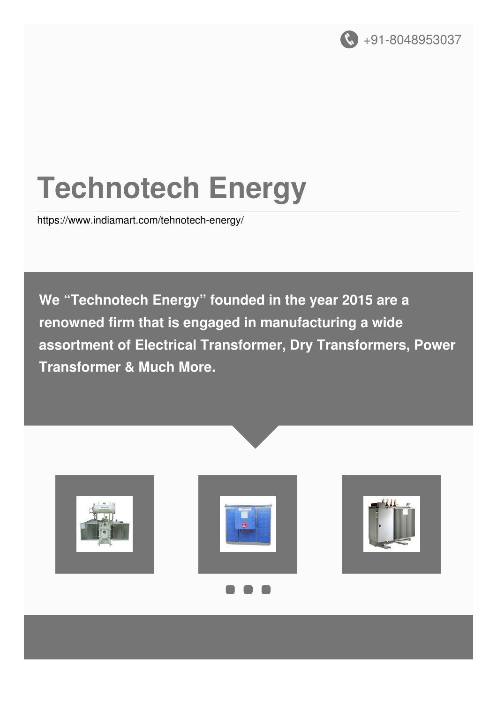

# **Technotech Energy**

<https://www.indiamart.com/tehnotech-energy/>

**We "Technotech Energy" founded in the year 2015 are a renowned firm that is engaged in manufacturing a wide assortment of Electrical Transformer, Dry Transformers, Power Transformer & Much More.**





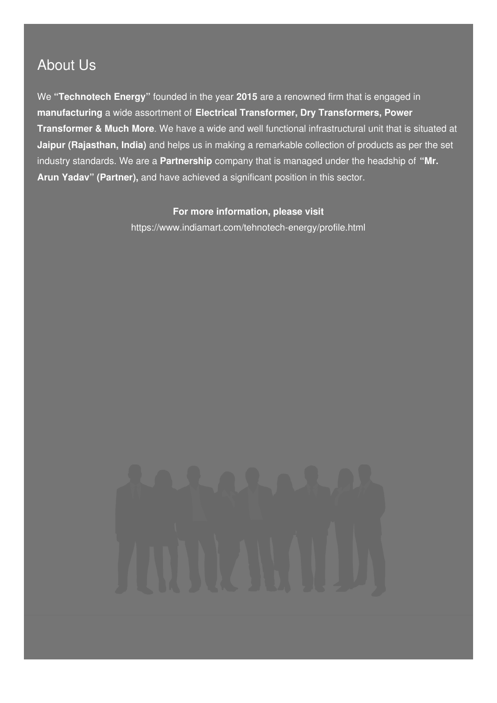### About Us

We **"Technotech Energy"** founded in the year **2015** are a renowned firm that is engaged in **manufacturing** a wide assortment of **Electrical Transformer, Dry Transformers, Power Transformer & Much More**. We have a wide and well functional infrastructural unit that is situated at **Jaipur (Rajasthan, India)** and helps us in making a remarkable collection of products as per the set industry standards. We are a **Partnership** company that is managed under the headship of **"Mr. Arun Yadav" (Partner),** and have achieved a significant position in this sector.

#### **For more information, please visit**

<https://www.indiamart.com/tehnotech-energy/profile.html>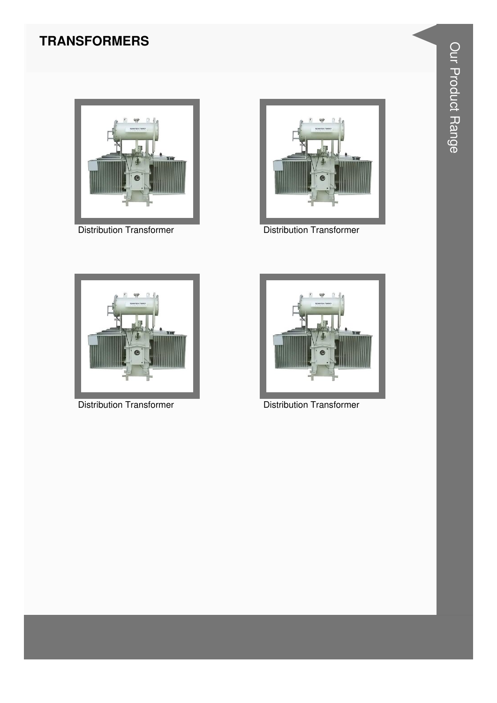#### **TRANSFORMERS**



**Distribution Transformer** 



**Distribution Transformer** 



**Distribution Transformer** 



**Distribution Transformer**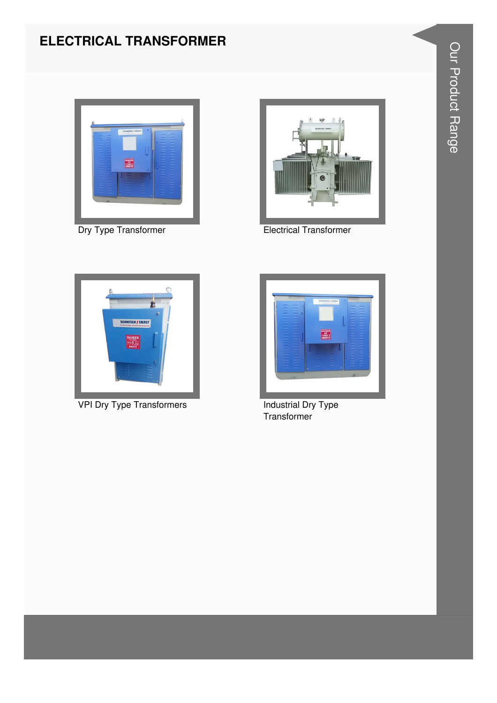#### **ELECTRICAL TRANSFORMER**





Dry Type Transformer **Electrical Transformer** 



VPI Dry Type Transformers **Industrial Dry Type** 



**Transformer**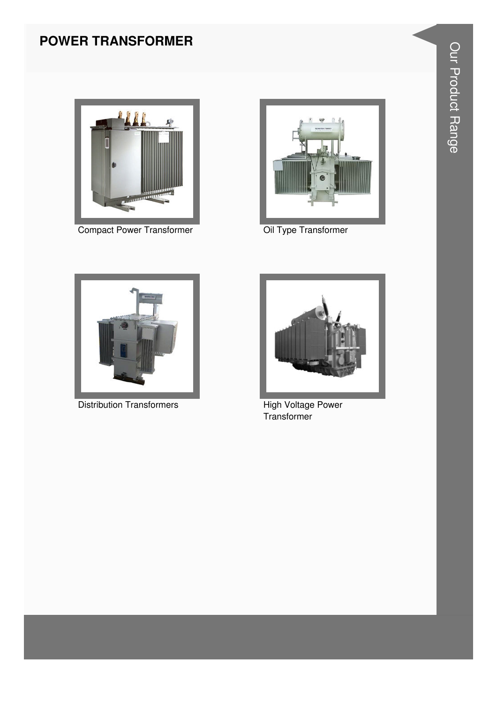#### **POWER TRANSFORMER**



Compact Power Transformer **Compact Power Transformer Oil Type Transformer** 





Distribution Transformers **High Voltage Power** 



**Transformer**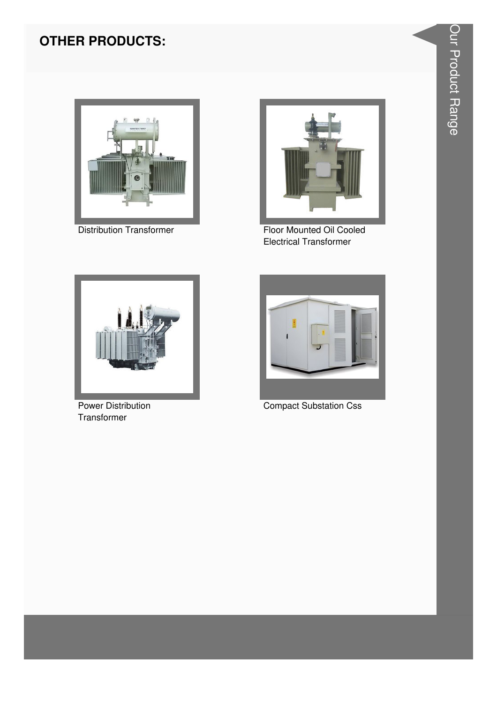#### **OTHER PRODUCTS:**



**Distribution Transformer** 



Floor Mounted Oil Cooled **Electrical Transformer** 



Power Distribution Transformer



**Compact Substation Css**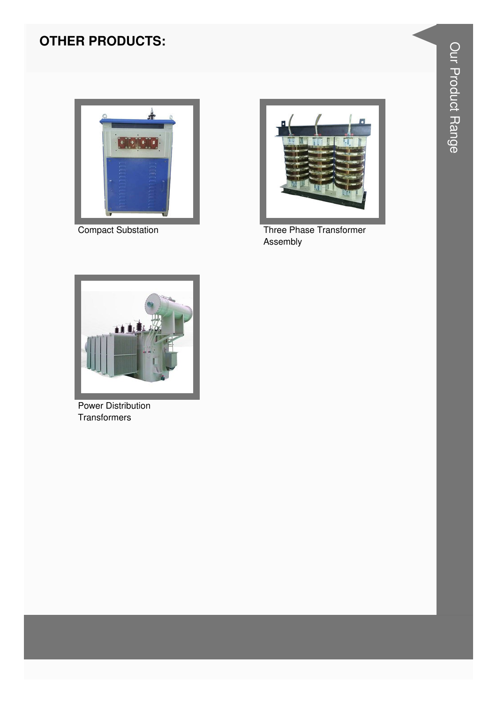### **OTHER PRODUCTS:**



Compact Substation



Three Phase Transformer Assembly



**Power Distribution** Transformers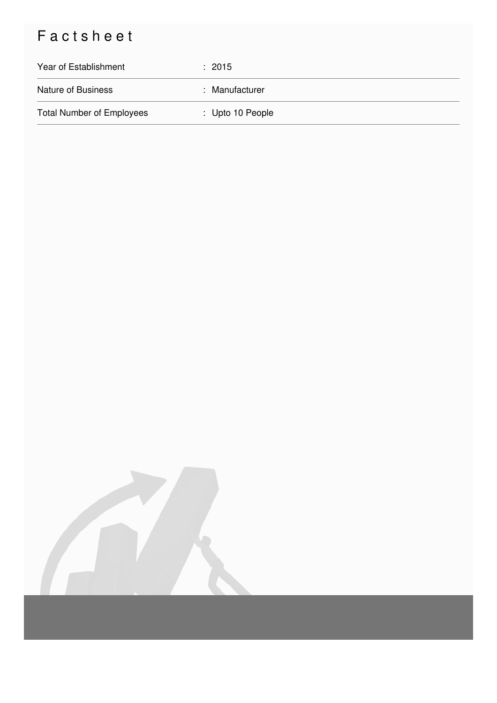## Factsheet

| Year of Establishment            | $\div$ 2015      |
|----------------------------------|------------------|
| <b>Nature of Business</b>        | : Manufacturer   |
| <b>Total Number of Employees</b> | : Upto 10 People |